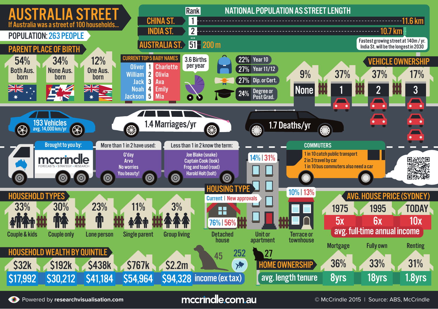

Powered by **researchvisualisation.com Example 2015 | COMPON COMPON COMPONER COMPONENT COMPONENT COMPONENT COMPONENT COMPONENT COMPONENT COMPONENT COMPONENT COMPONENT COMPONENT COMPONENT COMPONENT COMPONENT COMPONENT COMP**